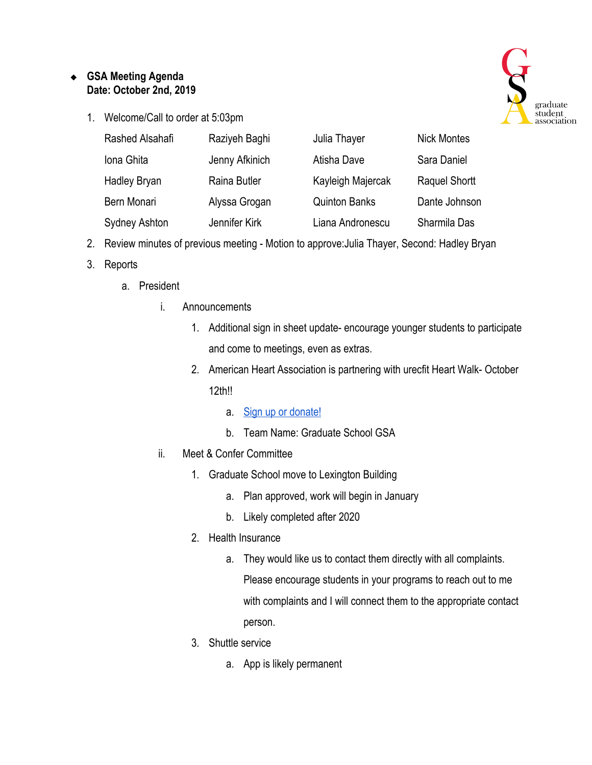## ❖ **GSA Meeting Agenda Date: October 2nd, 2019**

1. Welcome/Call to order at 5:03pm



| Rashed Alsahafi      | Raziyeh Baghi  | Julia Thayer         | <b>Nick Montes</b>   |
|----------------------|----------------|----------------------|----------------------|
| Iona Ghita           | Jenny Afkinich | Atisha Dave          | Sara Daniel          |
| <b>Hadley Bryan</b>  | Raina Butler   | Kayleigh Majercak    | <b>Raquel Shortt</b> |
| Bern Monari          | Alyssa Grogan  | <b>Quinton Banks</b> | Dante Johnson        |
| <b>Sydney Ashton</b> | Jennifer Kirk  | Liana Andronescu     | Sharmila Das         |

- 2. Review minutes of previous meeting Motion to approve:Julia Thayer, Second: Hadley Bryan
- 3. Reports
	- a. President
		- i. Announcements
			- 1. Additional sign in sheet update- encourage younger students to participate and come to meetings, even as extras.
			- 2. American Heart Association is partnering with urecfit Heart Walk- October 12th!!
				- a. [Sign up or donate!](https://www2.heart.org/site/TR?fr_id=4311&pg=team&team_id=526545)
				- b. Team Name: Graduate School GSA
		- ii. Meet & Confer Committee
			- 1. Graduate School move to Lexington Building
				- a. Plan approved, work will begin in January
				- b. Likely completed after 2020
			- 2. Health Insurance
				- a. They would like us to contact them directly with all complaints. Please encourage students in your programs to reach out to me with complaints and I will connect them to the appropriate contact person.
			- 3. Shuttle service
				- a. App is likely permanent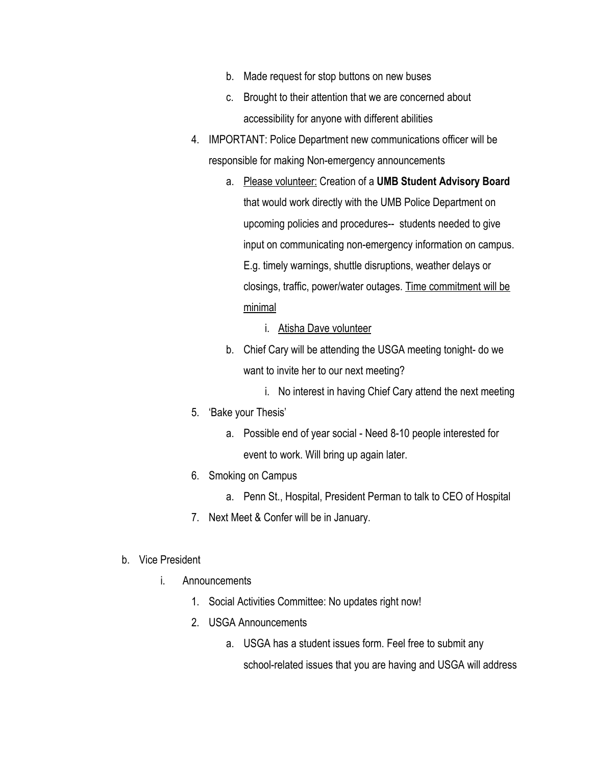- b. Made request for stop buttons on new buses
- c. Brought to their attention that we are concerned about accessibility for anyone with different abilities
- 4. IMPORTANT: Police Department new communications officer will be responsible for making Non-emergency announcements
	- a. Please volunteer: Creation of a **UMB Student Advisory Board** that would work directly with the UMB Police Department on upcoming policies and procedures-- students needed to give input on communicating non-emergency information on campus. E.g. timely warnings, shuttle disruptions, weather delays or closings, traffic, power/water outages. Time commitment will be minimal
		- i. Atisha Dave volunteer
	- b. Chief Cary will be attending the USGA meeting tonight- do we want to invite her to our next meeting?
		- i. No interest in having Chief Cary attend the next meeting
- 5. 'Bake your Thesis'
	- a. Possible end of year social Need 8-10 people interested for event to work. Will bring up again later.
- 6. Smoking on Campus
	- a. Penn St., Hospital, President Perman to talk to CEO of Hospital
- 7. Next Meet & Confer will be in January.
- b. Vice President
	- i. Announcements
		- 1. Social Activities Committee: No updates right now!
		- 2. USGA Announcements
			- a. USGA has a student issues form. Feel free to submit any school-related issues that you are having and USGA will address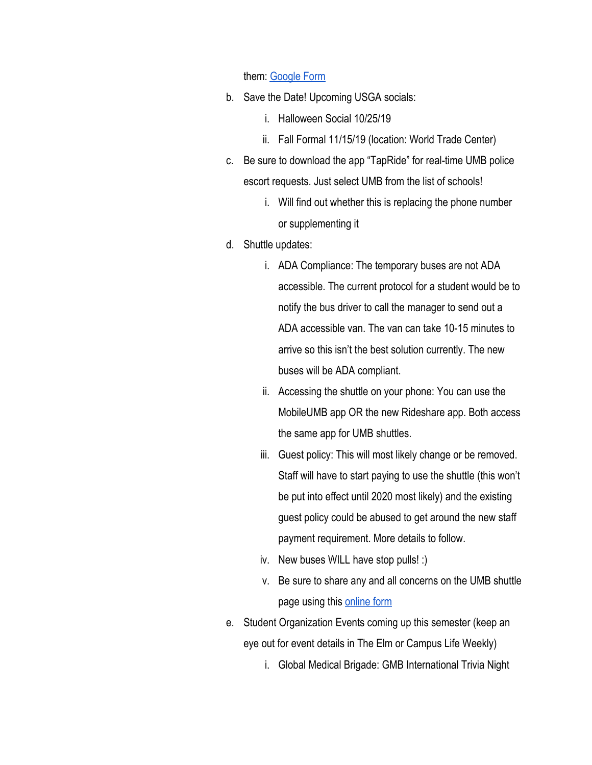## them: [Google Form](https://docs.google.com/forms/d/e/1FAIpQLSdVtDnCxtXkm_whXti9JuPYtWvjQjyWUUSVdBzgIZ1Ar-T9bQ/viewform?formkey=dF9YRlhIcWpCcjRBUno2R1F4YWdKZVE6MQ)

- b. Save the Date! Upcoming USGA socials:
	- i. Halloween Social 10/25/19
	- ii. Fall Formal 11/15/19 (location: World Trade Center)
- c. Be sure to download the app "TapRide" for real-time UMB police escort requests. Just select UMB from the list of schools!
	- i. Will find out whether this is replacing the phone number or supplementing it
- d. Shuttle updates:
	- i. ADA Compliance: The temporary buses are not ADA accessible. The current protocol for a student would be to notify the bus driver to call the manager to send out a ADA accessible van. The van can take 10-15 minutes to arrive so this isn't the best solution currently. The new buses will be ADA compliant.
	- ii. Accessing the shuttle on your phone: You can use the MobileUMB app OR the new Rideshare app. Both access the same app for UMB shuttles.
	- iii. Guest policy: This will most likely change or be removed. Staff will have to start paying to use the shuttle (this won't be put into effect until 2020 most likely) and the existing guest policy could be abused to get around the new staff payment requirement. More details to follow.
	- iv. New buses WILL have stop pulls! :)
	- v. Be sure to share any and all concerns on the UMB shuttle page using this [online form](https://www.umaryland.edu/shuttlebus/suggestions/)
- e. Student Organization Events coming up this semester (keep an eye out for event details in The Elm or Campus Life Weekly)
	- i. Global Medical Brigade: GMB International Trivia Night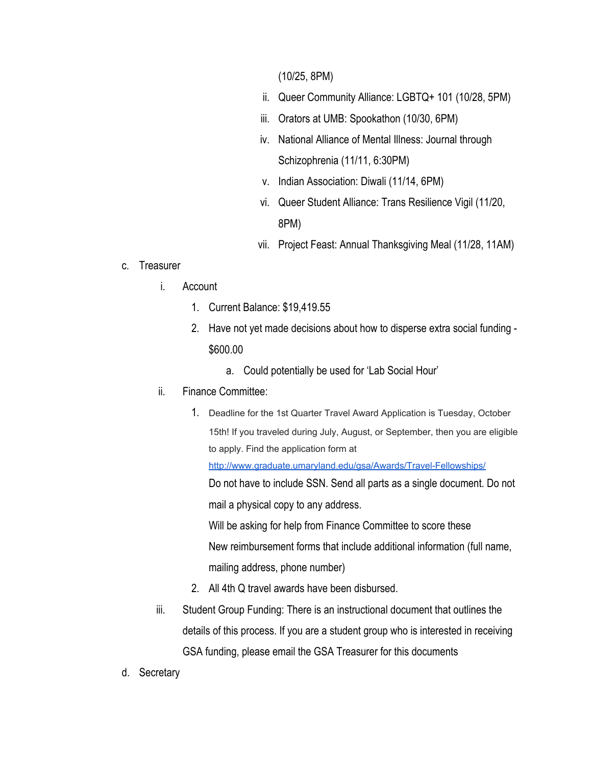(10/25, 8PM)

- ii. Queer Community Alliance: LGBTQ+ 101 (10/28, 5PM)
- iii. Orators at UMB: Spookathon (10/30, 6PM)
- iv. National Alliance of Mental Illness: Journal through Schizophrenia (11/11, 6:30PM)
- v. Indian Association: Diwali (11/14, 6PM)
- vi. Queer Student Alliance: Trans Resilience Vigil (11/20, 8PM)
- vii. Project Feast: Annual Thanksgiving Meal (11/28, 11AM)

## c. Treasurer

- i. Account
	- 1. Current Balance: \$19,419.55
	- 2. Have not yet made decisions about how to disperse extra social funding \$600.00
		- a. Could potentially be used for 'Lab Social Hour'
- ii. Finance Committee:
	- 1. Deadline for the 1st Quarter Travel Award Application is Tuesday, October 15th! If you traveled during July, August, or September, then you are eligible to apply. Find the application form at <http://www.graduate.umaryland.edu/gsa/Awards/Travel-Fellowships/> Do not have to include SSN. Send all parts as a single document. Do not mail a physical copy to any address. Will be asking for help from Finance Committee to score these New reimbursement forms that include additional information (full name,

mailing address, phone number)

- 2. All 4th Q travel awards have been disbursed.
- iii. Student Group Funding: There is an instructional document that outlines the details of this process. If you are a student group who is interested in receiving GSA funding, please email the GSA Treasurer for this documents
- d. Secretary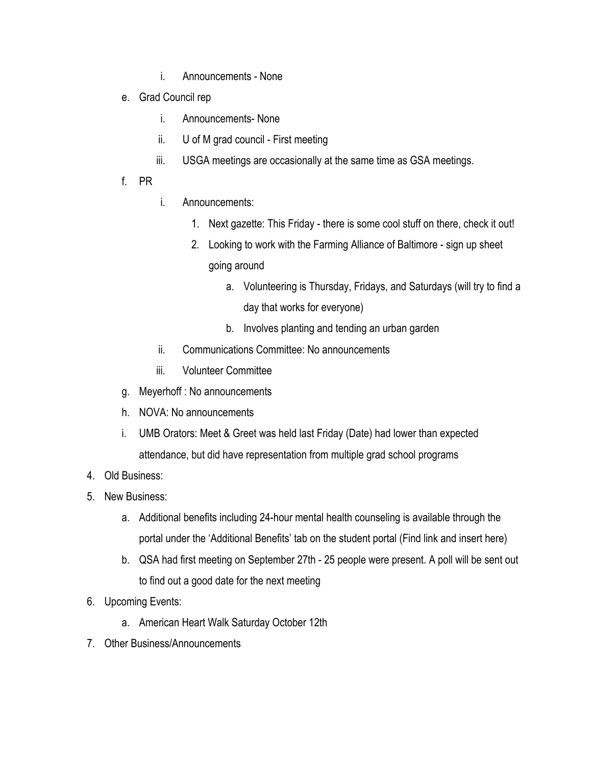- i. Announcements None
- e. Grad Council rep
	- i. Announcements- None
	- ii. U of M grad council First meeting
	- iii. USGA meetings are occasionally at the same time as GSA meetings.
- f. PR
- i. Announcements:
	- 1. Next gazette: This Friday there is some cool stuff on there, check it out!
	- 2. Looking to work with the Farming Alliance of Baltimore sign up sheet
		- going around
			- a. Volunteering is Thursday, Fridays, and Saturdays (will try to find a day that works for everyone)
			- b. Involves planting and tending an urban garden
- ii. Communications Committee: No announcements
- iii. Volunteer Committee
- g. Meyerhoff : No announcements
- h. NOVA: No announcements
- i. UMB Orators: Meet & Greet was held last Friday (Date) had lower than expected attendance, but did have representation from multiple grad school programs
- 4. Old Business:
- 5. New Business:
	- a. Additional benefits including 24-hour mental health counseling is available through the portal under the 'Additional Benefits' tab on the student portal (Find link and insert here)
	- b. QSA had first meeting on September 27th 25 people were present. A poll will be sent out to find out a good date for the next meeting
- 6. Upcoming Events:
	- a. American Heart Walk Saturday October 12th
- 7. Other Business/Announcements